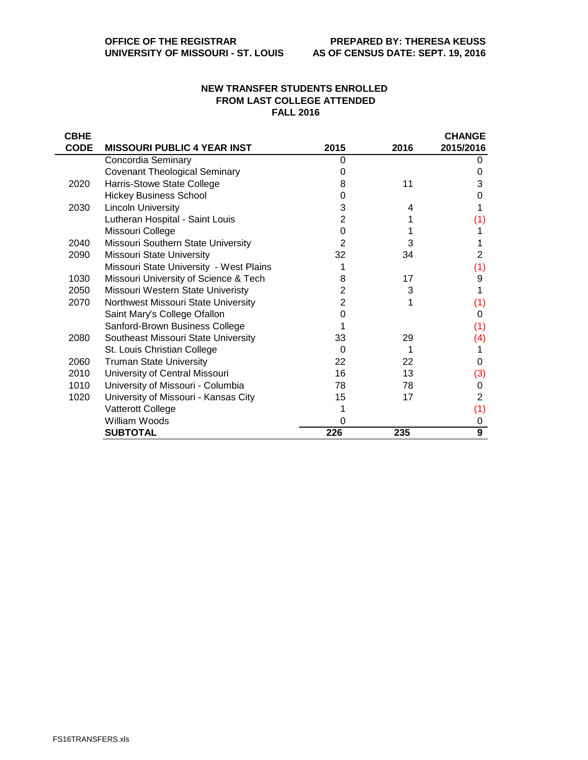## **NEW TRANSFER STUDENTS ENROLLED FROM LAST COLLEGE ATTENDED FALL 2016**

| <b>CBHE</b> |                                         |      |      | <b>CHANGE</b>  |
|-------------|-----------------------------------------|------|------|----------------|
| <b>CODE</b> | <b>MISSOURI PUBLIC 4 YEAR INST</b>      | 2015 | 2016 | 2015/2016      |
|             | Concordia Seminary                      | 0    |      |                |
|             | <b>Covenant Theological Seminary</b>    | O    |      | O              |
| 2020        | Harris-Stowe State College              | 8    | 11   | 3              |
|             | <b>Hickey Business School</b>           | O    |      | 0              |
| 2030        | <b>Lincoln University</b>               | 3    | 4    |                |
|             | Lutheran Hospital - Saint Louis         | 2    |      | (1)            |
|             | Missouri College                        | O    |      |                |
| 2040        | Missouri Southern State University      | 2    | 3    |                |
| 2090        | <b>Missouri State University</b>        | 32   | 34   | 2              |
|             | Missouri State University - West Plains |      |      | (1)            |
| 1030        | Missouri University of Science & Tech   | 8    | 17   | 9              |
| 2050        | Missouri Western State Univeristy       | 2    | 3    |                |
| 2070        | Northwest Missouri State University     | 2    |      | (1)            |
|             | Saint Mary's College Ofallon            | O    |      | 0              |
|             | Sanford-Brown Business College          |      |      | (1)            |
| 2080        | Southeast Missouri State University     | 33   | 29   | (4)            |
|             | St. Louis Christian College             | 0    |      |                |
| 2060        | <b>Truman State University</b>          | 22   | 22   | 0              |
| 2010        | University of Central Missouri          | 16   | 13   | (3)            |
| 1010        | University of Missouri - Columbia       | 78   | 78   | 0              |
| 1020        | University of Missouri - Kansas City    | 15   | 17   | $\overline{2}$ |
|             | Vatterott College                       |      |      | (1)            |
|             | William Woods                           | O    |      | 0              |
|             | <b>SUBTOTAL</b>                         | 226  | 235  | 9              |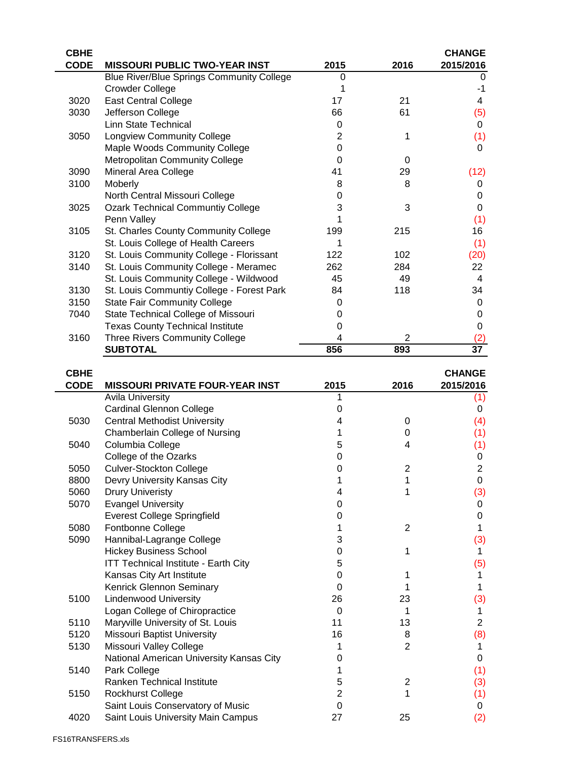| <b>CBHE</b> |                                                  |      |                | <b>CHANGE</b> |
|-------------|--------------------------------------------------|------|----------------|---------------|
| <b>CODE</b> | <b>MISSOURI PUBLIC TWO-YEAR INST</b>             | 2015 | 2016           | 2015/2016     |
|             | <b>Blue River/Blue Springs Community College</b> | 0    |                | 0             |
|             | <b>Crowder College</b>                           |      |                | -1            |
| 3020        | <b>East Central College</b>                      | 17   | 21             | 4             |
| 3030        | Jefferson College                                | 66   | 61             | (5)           |
|             | <b>Linn State Technical</b>                      | 0    |                | 0             |
| 3050        | <b>Longview Community College</b>                | 2    | 1              | (1)           |
|             | Maple Woods Community College                    | 0    |                | 0             |
|             | <b>Metropolitan Community College</b>            | 0    | 0              |               |
| 3090        | Mineral Area College                             | 41   | 29             | (12)          |
| 3100        | Moberly                                          | 8    | 8              | 0             |
|             | North Central Missouri College                   | 0    |                | 0             |
| 3025        | <b>Ozark Technical Communtiy College</b>         | 3    | 3              | $\Omega$      |
|             | Penn Valley                                      |      |                | (1)           |
| 3105        | St. Charles County Community College             | 199  | 215            | 16            |
|             | St. Louis College of Health Careers              | 1    |                | (1)           |
| 3120        | St. Louis Community College - Florissant         | 122  | 102            | (20)          |
| 3140        | St. Louis Community College - Meramec            | 262  | 284            | 22            |
|             | St. Louis Community College - Wildwood           | 45   | 49             | 4             |
| 3130        | St. Louis Communtiy College - Forest Park        | 84   | 118            | 34            |
| 3150        | <b>State Fair Community College</b>              | 0    |                | 0             |
| 7040        | State Technical College of Missouri              | O    |                | 0             |
|             | <b>Texas County Technical Institute</b>          | 0    |                | 0             |
| 3160        | <b>Three Rivers Community College</b>            | 4    | $\overline{2}$ | (2)           |
|             | <b>SUBTOTAL</b>                                  | 856  | 893            | 37            |
| <b>CBHE</b> |                                                  |      |                | <b>CHANGE</b> |
| <b>CODE</b> | <b>MISSOURI PRIVATE FOUR-YEAR INST</b>           | 2015 | 2016           | 2015/2016     |
|             | <b>Avila University</b>                          | 1    |                | (1)           |
|             | <b>Cardinal Glennon College</b>                  | 0    |                | 0             |
| 5030        | Central Methodist Hniversity                     | Δ    | U              | $\Delta$      |

|      | AVIIU UHIVUJJILY                            |    |                | w              |
|------|---------------------------------------------|----|----------------|----------------|
|      | <b>Cardinal Glennon College</b>             | o  |                | 0              |
| 5030 | <b>Central Methodist University</b>         |    | 0              | (4)            |
|      | Chamberlain College of Nursing              |    | 0              | (1)            |
| 5040 | Columbia College                            | 5  | 4              | (1)            |
|      | College of the Ozarks                       | Ω  |                | 0              |
| 5050 | <b>Culver-Stockton College</b>              |    | $\overline{2}$ | $\overline{2}$ |
| 8800 | Devry University Kansas City                |    |                | $\Omega$       |
| 5060 | <b>Drury Univeristy</b>                     |    |                | (3)            |
| 5070 | <b>Evangel University</b>                   |    |                | 0              |
|      | <b>Everest College Springfield</b>          |    |                | 0              |
| 5080 | Fontbonne College                           |    | 2              |                |
| 5090 | Hannibal-Lagrange College                   | 3  |                | (3)            |
|      | <b>Hickey Business School</b>               | 0  |                |                |
|      | <b>ITT Technical Institute - Earth City</b> | 5  |                | (5)            |
|      | Kansas City Art Institute                   | O  |                |                |
|      | Kenrick Glennon Seminary                    | 0  |                |                |
| 5100 | <b>Lindenwood University</b>                | 26 | 23             | (3)            |
|      | Logan College of Chiropractice              | 0  | 1              |                |
| 5110 | Maryville University of St. Louis           | 11 | 13             | $\overline{2}$ |
| 5120 | <b>Missouri Baptist University</b>          | 16 | 8              | (8)            |
| 5130 | Missouri Valley College                     |    | $\overline{2}$ |                |
|      | National American University Kansas City    |    |                | 0              |
| 5140 | Park College                                |    |                | (1)            |
|      | Ranken Technical Institute                  | 5  | 2              | (3)            |
| 5150 | <b>Rockhurst College</b>                    | 2  |                | (1)            |
|      | Saint Louis Conservatory of Music           | O  |                | 0              |
| 4020 | Saint Louis University Main Campus          | 27 | 25             | (2)            |
|      |                                             |    |                |                |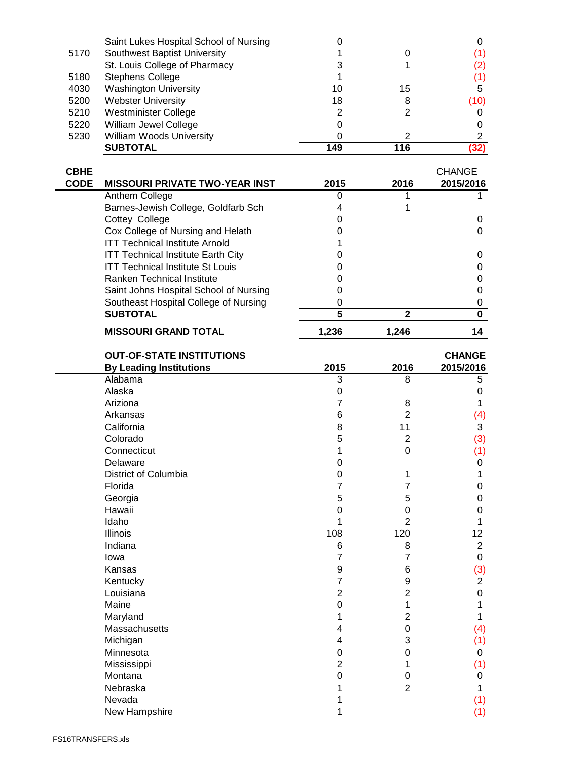|      | Saint Lukes Hospital School of Nursing |     |     |      |
|------|----------------------------------------|-----|-----|------|
| 5170 | Southwest Baptist University           |     |     | (1)  |
|      | St. Louis College of Pharmacy          | 3   |     | (2)  |
| 5180 | <b>Stephens College</b>                |     |     | (1)  |
| 4030 | <b>Washington University</b>           | 10  | 15  | 5    |
| 5200 | <b>Webster University</b>              | 18  | 8   | (10) |
| 5210 | Westminister College                   | 2   |     |      |
| 5220 | William Jewel College                  | 0   |     |      |
| 5230 | <b>William Woods University</b>        | 0   | 2   |      |
|      | <b>SUBTOTAL</b>                        | 149 | 116 | (32) |

| <b>CBHE</b><br><b>CODE</b> | <b>MISSOURI PRIVATE TWO-YEAR INST</b>     | 2015  | 2016  | <b>CHANGE</b><br>2015/2016 |
|----------------------------|-------------------------------------------|-------|-------|----------------------------|
|                            | Anthem College                            |       |       |                            |
|                            | Barnes-Jewish College, Goldfarb Sch       |       |       |                            |
|                            | Cottey College                            |       |       |                            |
|                            | Cox College of Nursing and Helath         |       |       |                            |
|                            | <b>ITT Technical Institute Arnold</b>     |       |       |                            |
|                            | <b>ITT Technical Institute Earth City</b> |       |       |                            |
|                            | <b>ITT Technical Institute St Louis</b>   |       |       |                            |
|                            | Ranken Technical Institute                |       |       |                            |
|                            | Saint Johns Hospital School of Nursing    |       |       |                            |
|                            | Southeast Hospital College of Nursing     |       |       |                            |
|                            | <b>SUBTOTAL</b>                           | 5     | 2     |                            |
|                            | <b>MISSOURI GRAND TOTAL</b>               | 1.236 | 1.246 | 14                         |

| <b>OUT-OF-STATE INSTITUTIONS</b> |                |                | <b>CHANGE</b>  |
|----------------------------------|----------------|----------------|----------------|
| <b>By Leading Institutions</b>   | 2015           | 2016           | 2015/2016      |
| Alabama                          | 3              | 8              | 5              |
| Alaska                           | 0              |                | 0              |
| Ariziona                         | 7              | 8              |                |
| Arkansas                         | 6              | $\overline{2}$ | (4)            |
| California                       | 8              | 11             | 3              |
| Colorado                         | 5              | $\overline{2}$ | (3)            |
| Connecticut                      | 1              | $\mathbf 0$    | (1)            |
| Delaware                         | 0              |                | 0              |
| District of Columbia             | 0              | 1              | 1              |
| Florida                          | 7              | 7              | 0              |
| Georgia                          | 5              | 5              | 0              |
| Hawaii                           | 0              | 0              | 0              |
| Idaho                            | 1              | $\overline{2}$ |                |
| Illinois                         | 108            | 120            | 12             |
| Indiana                          | 6              | 8              | $\overline{2}$ |
| lowa                             | 7              | 7              | $\mathbf 0$    |
| Kansas                           | 9              | 6              | (3)            |
| Kentucky                         | $\overline{7}$ | 9              | $\overline{2}$ |
| Louisiana                        | $\overline{2}$ | $\overline{2}$ | $\Omega$       |
| Maine                            | 0              | 1              |                |
| Maryland                         | 1              | $\overline{2}$ |                |
| Massachusetts                    | 4              | $\mathbf 0$    | (4)            |
| Michigan                         | 4              | 3              | (1)            |
| Minnesota                        | 0              | 0              | 0              |
| Mississippi                      | $\overline{2}$ | 1              | (1)            |
| Montana                          | $\mathbf 0$    | $\mathbf 0$    | 0              |
| Nebraska                         | 1              | $\overline{2}$ | 1              |
| Nevada                           |                |                | (1)            |
| New Hampshire                    | 1              |                | (1)            |